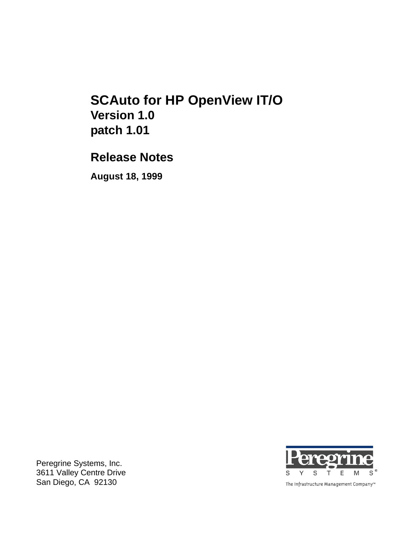## **SCAuto for HP OpenView IT/O Version 1.0 patch 1.01**

## **Release Notes**

**August 18, 1999**

20  $T$  E Y  $\mathsf S$  $\mathsf{M}% _{T}=\mathsf{M}_{T}\!\left( a,b\right) ,\ \mathsf{M}_{T}=\mathsf{M}_{T}\!\left( a,b\right) ,$ S S

The Infrastructure Management Company™

Peregrine Systems, Inc. 3611 Valley Centre Drive San Diego, CA 92130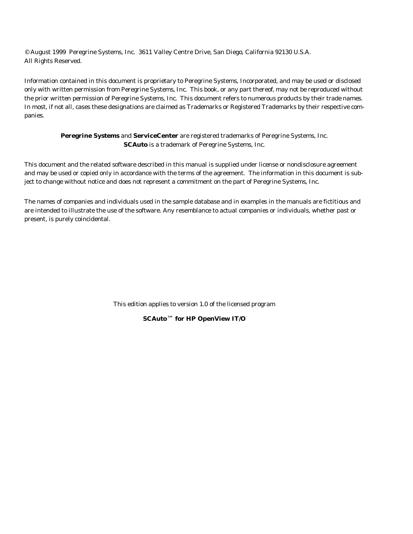© August 1999 Peregrine Systems, Inc. 3611 Valley Centre Drive, San Diego, California 92130 U.S.A. All Rights Reserved.

Information contained in this document is proprietary to Peregrine Systems, Incorporated, and may be used or disclosed only with written permission from Peregrine Systems, Inc. This book, or any part thereof, may not be reproduced without the prior written permission of Peregrine Systems, Inc. This document refers to numerous products by their trade names. In most, if not all, cases these designations are claimed as Trademarks or Registered Trademarks by their respective companies.

#### **Peregrine Systems** and **ServiceCenter** are registered trademarks of Peregrine Systems, Inc. **SCAuto** is a trademark of Peregrine Systems, Inc.

This document and the related software described in this manual is supplied under license or nondisclosure agreement and may be used or copied only in accordance with the terms of the agreement. The information in this document is subject to change without notice and does not represent a commitment on the part of Peregrine Systems, Inc.

The names of companies and individuals used in the sample database and in examples in the manuals are fictitious and are intended to illustrate the use of the software. Any resemblance to actual companies or individuals, whether past or present, is purely coincidental.

This edition applies to version 1.0 of the licensed program

**SCAuto**™ **for HP OpenView IT/O**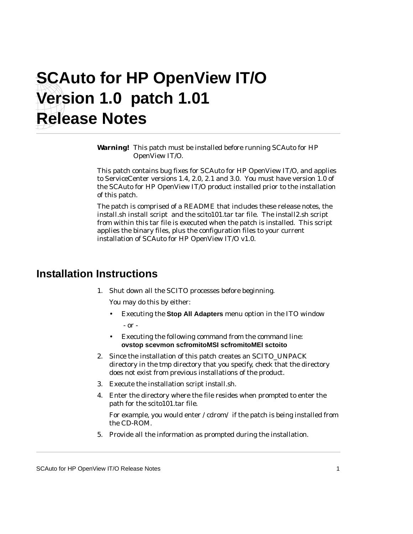# **SCAuto for HP OpenView IT/O Version 1.0 patch 1.01 Release Notes**

**Warning!** This patch must be installed before running SCAuto for HP OpenView IT/O.

This patch contains bug fixes for SCAuto for HP OpenView IT/O, and applies to ServiceCenter versions 1.4, 2.0, 2.1 and 3.0. You must have version 1.0 of the SCAuto for HP OpenView IT/O product installed prior to the installation of this patch.

The patch is comprised of a README that includes these release notes, the *install.sh* install script and the *scito101.tar* tar file. The *install2.sh* script from within this tar file is executed when the patch is installed. This script applies the binary files, plus the configuration files to your current installation of SCAuto for HP OpenView IT/O v1.0.

### **Installation Instructions**

1. Shut down all the SCITO processes before beginning.

You may do this by either:

- Executing the **Stop All Adapters** menu option in the ITO window - or -
- Executing the following command from the command line: **ovstop scevmon scfromitoMSI scfromitoMEI sctoito**
- 2. Since the installation of this patch creates an SCITO\_UNPACK directory in the *tmp* directory that you specify, check that the directory does not exist from previous installations of the product.
- 3. Execute the installation script *install.sh*.
- 4. Enter the directory where the file resides when prompted to enter the path for the *scito101.tar* file.

For example, you would enter */cdrom/* if the patch is being installed from the CD-ROM.

5. Provide all the information as prompted during the installation.